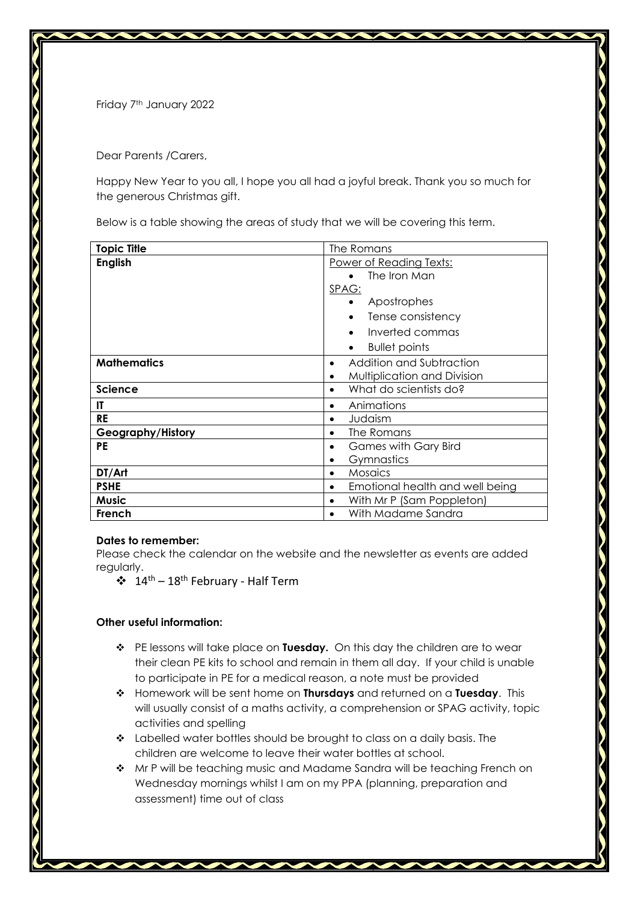Friday 7<sup>th</sup> January 2022

Dear Parents /Carers,

Happy New Year to you all, I hope you all had a joyful break. Thank you so much for the generous Christmas gift.

Below is a table showing the areas of study that we will be covering this term.

| <b>Topic Title</b> | The Romans                               |
|--------------------|------------------------------------------|
| <b>English</b>     | Power of Reading Texts:                  |
|                    | The Iron Man                             |
|                    | SPAG:                                    |
|                    | Apostrophes                              |
|                    | Tense consistency<br>$\bullet$           |
|                    | Inverted commas<br>$\bullet$             |
|                    | <b>Bullet points</b><br>$\bullet$        |
| <b>Mathematics</b> | Addition and Subtraction<br>$\bullet$    |
|                    | Multiplication and Division<br>$\bullet$ |
| <b>Science</b>     | What do scientists do?<br>$\bullet$      |
| IT                 | Animations<br>$\bullet$                  |
| RE                 | Judaism<br>$\bullet$                     |
| Geography/History  | The Romans<br>٠                          |
| PE                 | <b>Games with Gary Bird</b><br>$\bullet$ |
|                    | Gymnastics<br>٠                          |
| DT/Art             | <b>Mosaics</b><br>$\bullet$              |
| <b>PSHE</b>        | Emotional health and well being          |
| Music              | With Mr P (Sam Poppleton)                |
| French             | With Madame Sandra                       |

## **Dates to remember:**

Please check the calendar on the website and the newsletter as events are added regularly.

 $\div$  14<sup>th</sup> – 18<sup>th</sup> February - Half Term

## **Other useful information:**

- PE lessons will take place on **Tuesday.** On this day the children are to wear their clean PE kits to school and remain in them all day. If your child is unable to participate in PE for a medical reason, a note must be provided
- Homework will be sent home on **Thursdays** and returned on a **Tuesday**. This will usually consist of a maths activity, a comprehension or SPAG activity, topic activities and spelling
- \* Labelled water bottles should be brought to class on a daily basis. The children are welcome to leave their water bottles at school.
- ◆ Mr P will be teaching music and Madame Sandra will be teaching French on Wednesday mornings whilst I am on my PPA (planning, preparation and assessment) time out of class